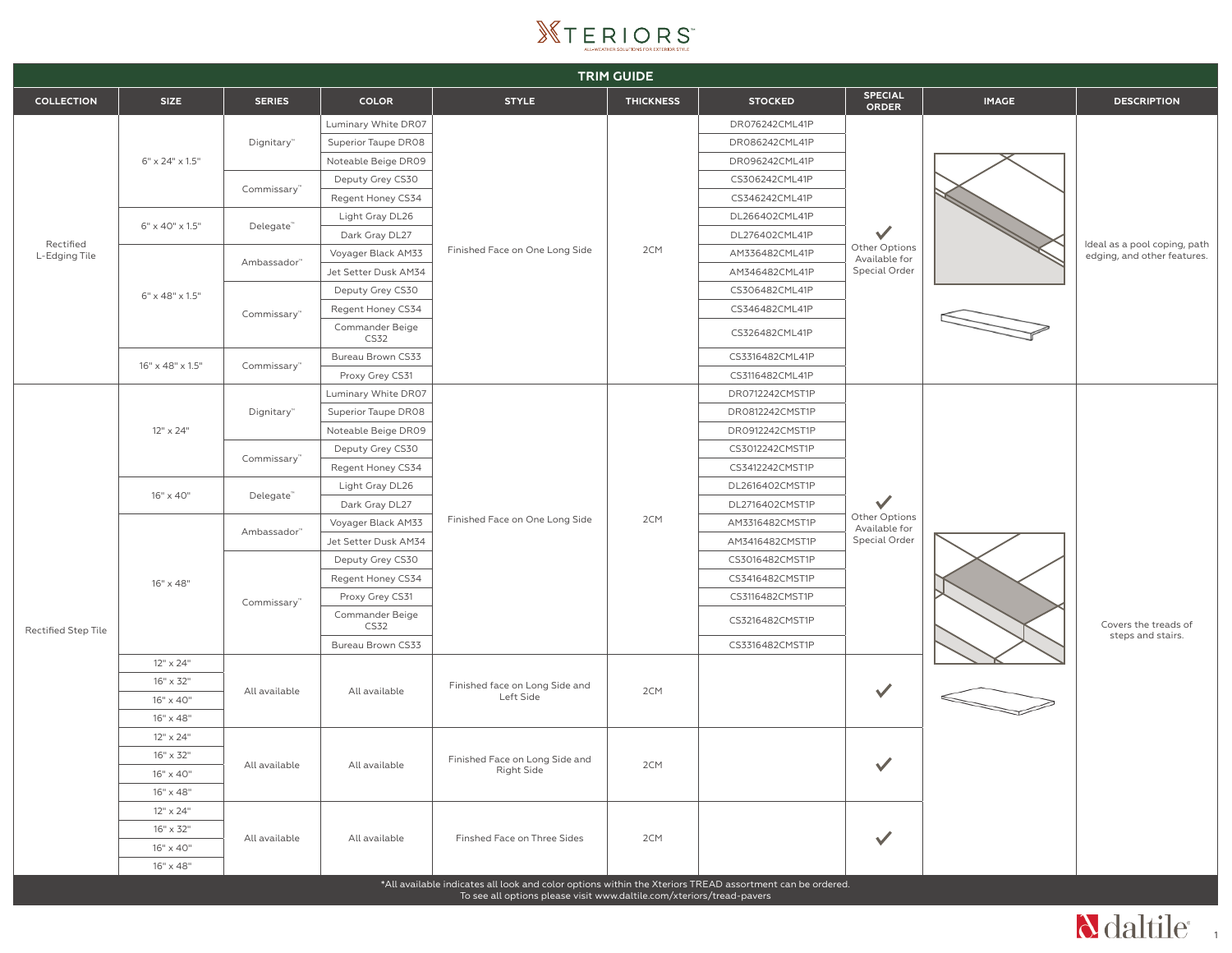

| <b>TRIM GUIDE</b>          |                              |                         |                                |                                                                                                        |                  |                 |                                                                 |                                                                                          |                                                             |
|----------------------------|------------------------------|-------------------------|--------------------------------|--------------------------------------------------------------------------------------------------------|------------------|-----------------|-----------------------------------------------------------------|------------------------------------------------------------------------------------------|-------------------------------------------------------------|
| <b>COLLECTION</b>          | <b>SIZE</b>                  | <b>SERIES</b>           | <b>COLOR</b>                   | <b>STYLE</b>                                                                                           | <b>THICKNESS</b> | <b>STOCKED</b>  | <b>SPECIAL</b><br><b>ORDER</b>                                  | <b>IMAGE</b>                                                                             | <b>DESCRIPTION</b>                                          |
|                            |                              | Dignitary"              | Luminary White DR07            | Finished Face on One Long Side                                                                         |                  | DR076242CML41P  |                                                                 |                                                                                          | Ideal as a pool coping, path<br>edging, and other features. |
|                            | $6" \times 24" \times 1.5"$  |                         | Superior Taupe DR08            |                                                                                                        |                  | DR086242CML41P  |                                                                 |                                                                                          |                                                             |
|                            |                              |                         | Noteable Beige DR09            |                                                                                                        |                  | DR096242CML41P  |                                                                 |                                                                                          |                                                             |
|                            |                              | Commissary"             | Deputy Grey CS30               |                                                                                                        |                  | CS306242CML41P  |                                                                 |                                                                                          |                                                             |
|                            |                              |                         | Regent Honey CS34              |                                                                                                        |                  | CS346242CML41P  |                                                                 |                                                                                          |                                                             |
| Rectified<br>L-Edging Tile | 6" x 40" x 1.5"              | Delegate"               | Light Gray DL26                |                                                                                                        |                  | DL266402CML41P  |                                                                 |                                                                                          |                                                             |
|                            |                              |                         | Dark Gray DL27                 |                                                                                                        |                  | DL276402CML41P  | $\checkmark$                                                    |                                                                                          |                                                             |
|                            |                              | Ambassador"             | Voyager Black AM33             |                                                                                                        | 2CM              | AM336482CML41P  | Other Options<br>Available for                                  |                                                                                          |                                                             |
|                            |                              |                         | Jet Setter Dusk AM34           |                                                                                                        |                  | AM346482CML41P  | Special Order                                                   |                                                                                          |                                                             |
|                            | $6" \times 48" \times 1.5"$  |                         | Deputy Grey CS30               |                                                                                                        |                  | CS306482CML41P  |                                                                 |                                                                                          |                                                             |
|                            |                              | Commissary"             | Regent Honey CS34              |                                                                                                        |                  | CS346482CML41P  |                                                                 |                                                                                          |                                                             |
|                            |                              |                         | Commander Beige<br>CS32        |                                                                                                        |                  | CS326482CML41P  |                                                                 |                                                                                          |                                                             |
|                            | $16" \times 48" \times 1.5"$ |                         | Bureau Brown CS33              |                                                                                                        |                  | CS3316482CML41P |                                                                 |                                                                                          |                                                             |
|                            |                              | Commissary <sup>™</sup> | Proxy Grey CS31                |                                                                                                        |                  | CS3116482CML41P |                                                                 |                                                                                          |                                                             |
|                            |                              | Dignitary"              | Luminary White DR07            |                                                                                                        |                  | DR0712242CMST1P |                                                                 |                                                                                          |                                                             |
|                            |                              |                         | Superior Taupe DR08            |                                                                                                        | 2CM              | DR0812242CMST1P | $\checkmark$<br>Other Options<br>Available for<br>Special Order | $\begin{array}{c} \begin{array}{c} \begin{array}{c} \end{array} \end{array} \end{array}$ | Covers the treads of<br>steps and stairs.                   |
|                            | $12" \times 24"$             |                         | Noteable Beige DR09            |                                                                                                        |                  | DR0912242CMST1P |                                                                 |                                                                                          |                                                             |
|                            |                              | Commissary"             | Deputy Grey CS30               | Finished Face on One Long Side                                                                         |                  | CS3012242CMST1P |                                                                 |                                                                                          |                                                             |
|                            |                              |                         | Regent Honey CS34              |                                                                                                        |                  | CS3412242CMST1P |                                                                 |                                                                                          |                                                             |
|                            | $16" \times 40"$             | Delegate"               | Light Gray DL26                |                                                                                                        |                  | DL2616402CMST1P |                                                                 |                                                                                          |                                                             |
|                            |                              |                         | Dark Gray DL27                 |                                                                                                        |                  | DL2716402CMST1P |                                                                 |                                                                                          |                                                             |
|                            | 16" x 48"                    | Ambassador"             | Voyager Black AM33             |                                                                                                        |                  | AM3316482CMST1P |                                                                 |                                                                                          |                                                             |
|                            |                              |                         | Jet Setter Dusk AM34           |                                                                                                        |                  | AM3416482CMST1P |                                                                 |                                                                                          |                                                             |
|                            |                              | Commissary"             | Deputy Grey CS30               |                                                                                                        |                  | CS3016482CMST1P |                                                                 |                                                                                          |                                                             |
|                            |                              |                         | Regent Honey CS34              |                                                                                                        |                  | CS3416482CMST1P |                                                                 |                                                                                          |                                                             |
|                            |                              |                         | Proxy Grey CS31                |                                                                                                        |                  | CS3116482CMST1P |                                                                 |                                                                                          |                                                             |
| <b>Rectified Step Tile</b> |                              |                         | Commander Beige<br><b>CS32</b> |                                                                                                        |                  | CS3216482CMST1P |                                                                 |                                                                                          |                                                             |
|                            |                              |                         | Bureau Brown CS33              |                                                                                                        |                  | CS3316482CMST1P |                                                                 |                                                                                          |                                                             |
|                            | $12" \times 24"$             | All available           | All available                  | Finished face on Long Side and<br>Left Side                                                            | 2CM              |                 | $\checkmark$<br>$\checkmark$<br>$\checkmark$                    |                                                                                          |                                                             |
|                            | $16" \times 32"$             |                         |                                |                                                                                                        |                  |                 |                                                                 |                                                                                          |                                                             |
|                            | 16" x 40"                    |                         |                                |                                                                                                        |                  |                 |                                                                 |                                                                                          |                                                             |
|                            | $16" \times 48"$             |                         |                                |                                                                                                        |                  |                 |                                                                 |                                                                                          |                                                             |
|                            | 12" x 24"                    | All available           | All available                  | Finished Face on Long Side and<br><b>Right Side</b>                                                    | 2CM              |                 |                                                                 |                                                                                          |                                                             |
|                            | $16" \times 32"$             |                         |                                |                                                                                                        |                  |                 |                                                                 |                                                                                          |                                                             |
|                            | 16" x 40"                    |                         |                                |                                                                                                        |                  |                 |                                                                 |                                                                                          |                                                             |
|                            | $16" \times 48"$             |                         |                                |                                                                                                        |                  |                 |                                                                 |                                                                                          |                                                             |
|                            | $12" \times 24"$             | All available           | All available                  | Finshed Face on Three Sides                                                                            | 2CM              |                 |                                                                 |                                                                                          |                                                             |
|                            | $16" \times 32"$             |                         |                                |                                                                                                        |                  |                 |                                                                 |                                                                                          |                                                             |
|                            | 16" x 40"                    |                         |                                |                                                                                                        |                  |                 |                                                                 |                                                                                          |                                                             |
|                            | $16" \times 48"$             |                         |                                | All available indicates all look and color options within the Xteriors TREAD assortment can be ordered |                  |                 |                                                                 |                                                                                          |                                                             |

\*All available indicates all look and color options within the Xteriors TREAD assortment can be ordered. To see all options please visit www.daltile.com/xteriors/tread-pavers

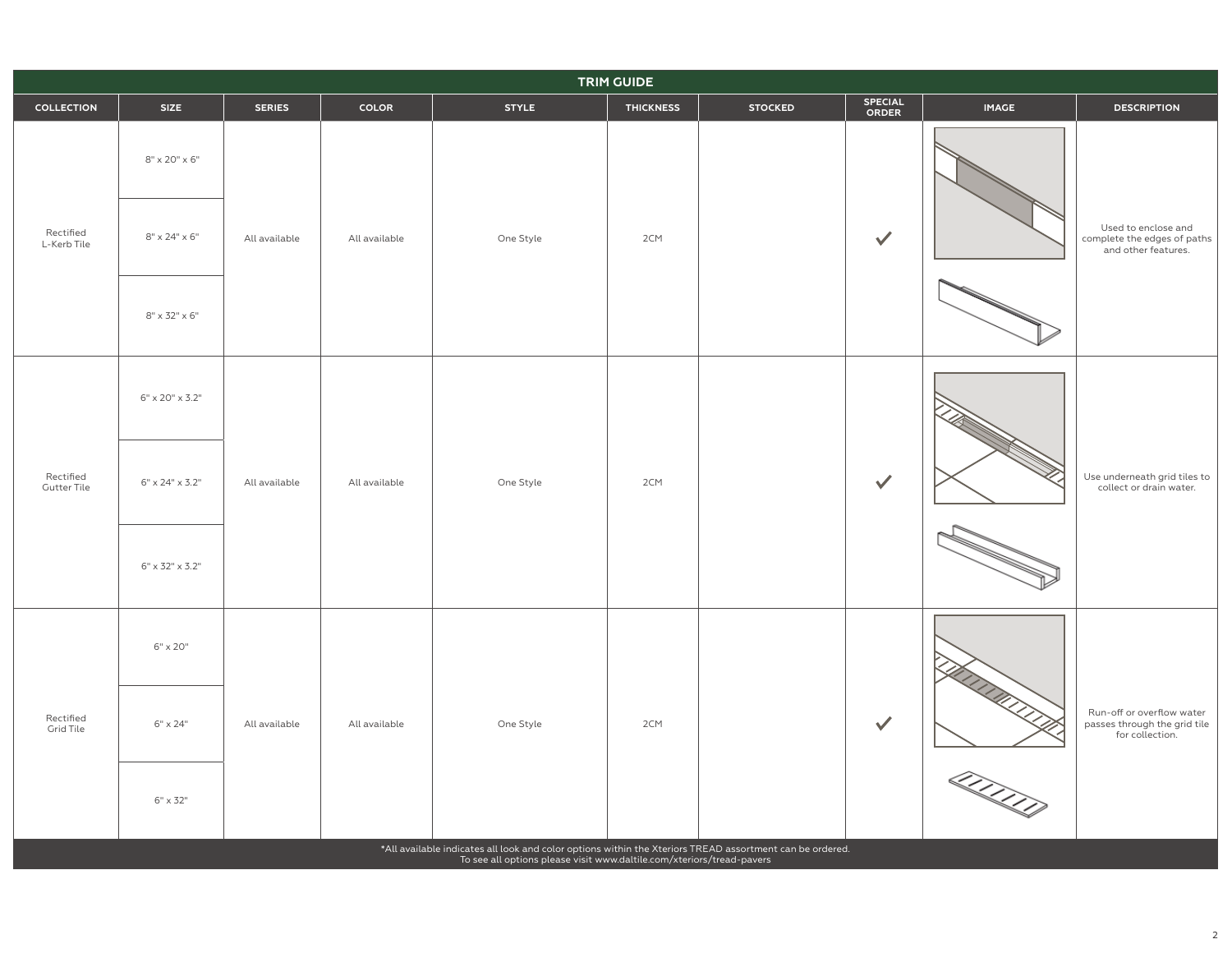| <b>TRIM GUIDE</b>                                                                                                                                                                 |                             |               |               |              |                  |                |                         |                  |                                                                              |
|-----------------------------------------------------------------------------------------------------------------------------------------------------------------------------------|-----------------------------|---------------|---------------|--------------|------------------|----------------|-------------------------|------------------|------------------------------------------------------------------------------|
| <b>COLLECTION</b>                                                                                                                                                                 | <b>SIZE</b>                 | <b>SERIES</b> | COLOR         | <b>STYLE</b> | <b>THICKNESS</b> | <b>STOCKED</b> | SPECIAL<br><b>ORDER</b> | <b>IMAGE</b>     | <b>DESCRIPTION</b>                                                           |
| Rectified<br>L-Kerb Tile                                                                                                                                                          | $8" \times 20" \times 6"$   | All available | All available | One Style    | 2CM              |                | $\checkmark$            |                  | Used to enclose and<br>complete the edges of paths<br>and other features.    |
|                                                                                                                                                                                   | $8" \times 24" \times 6"$   |               |               |              |                  |                |                         |                  |                                                                              |
|                                                                                                                                                                                   | $8" \times 32" \times 6"$   |               |               |              |                  |                |                         | D<br><u>QQQQ</u> |                                                                              |
| Rectified<br><b>Gutter Tile</b>                                                                                                                                                   | $6" \times 20" \times 3.2"$ | All available | All available | One Style    | 2CM              |                | $\checkmark$            |                  | Use underneath grid tiles to<br>collect or drain water.                      |
|                                                                                                                                                                                   | $6" \times 24" \times 3.2"$ |               |               |              |                  |                |                         |                  |                                                                              |
|                                                                                                                                                                                   | $6" \times 32" \times 3.2"$ |               |               |              |                  |                |                         |                  |                                                                              |
| Rectified<br><b>Grid Tile</b>                                                                                                                                                     | $6" \times 20"$             | All available | All available | One Style    | 2CM              |                | $\checkmark$            |                  |                                                                              |
|                                                                                                                                                                                   | $6" \times 24"$             |               |               |              |                  |                |                         |                  | Run-off or overflow water<br>passes through the grid tile<br>for collection. |
|                                                                                                                                                                                   | $6" \times 32"$             |               |               |              |                  |                |                         |                  |                                                                              |
| *All available indicates all look and color options within the Xteriors TREAD assortment can be ordered.<br>To see all options please visit www.daltile.com/xteriors/tread-pavers |                             |               |               |              |                  |                |                         |                  |                                                                              |